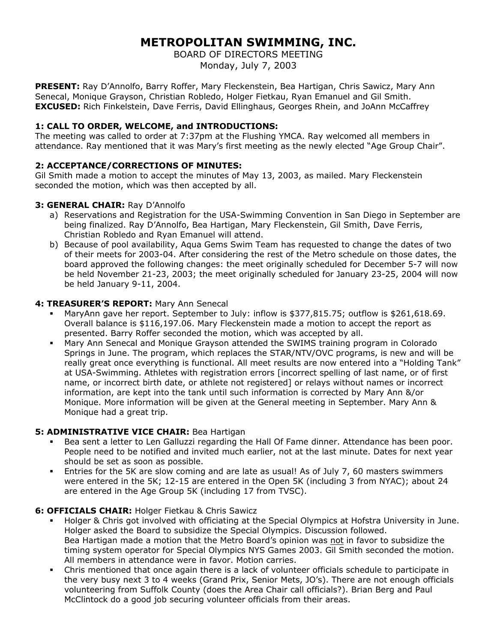# **METROPOLITAN SWIMMING, INC.**

BOARD OF DIRECTORS MEETING Monday, July 7, 2003

**PRESENT:** Ray D'Annolfo, Barry Roffer, Mary Fleckenstein, Bea Hartigan, Chris Sawicz, Mary Ann Senecal, Monique Grayson, Christian Robledo, Holger Fietkau, Ryan Emanuel and Gil Smith. **EXCUSED:** Rich Finkelstein, Dave Ferris, David Ellinghaus, Georges Rhein, and JoAnn McCaffrey

## **1: CALL TO ORDER, WELCOME, and INTRODUCTIONS:**

The meeting was called to order at 7:37pm at the Flushing YMCA. Ray welcomed all members in attendance. Ray mentioned that it was Mary's first meeting as the newly elected "Age Group Chair".

# **2: ACCEPTANCE/CORRECTIONS OF MINUTES:**

Gil Smith made a motion to accept the minutes of May 13, 2003, as mailed. Mary Fleckenstein seconded the motion, which was then accepted by all.

## **3: GENERAL CHAIR:** Ray D'Annolfo

- a) Reservations and Registration for the USA-Swimming Convention in San Diego in September are being finalized. Ray D'Annolfo, Bea Hartigan, Mary Fleckenstein, Gil Smith, Dave Ferris, Christian Robledo and Ryan Emanuel will attend.
- b) Because of pool availability, Aqua Gems Swim Team has requested to change the dates of two of their meets for 2003-04. After considering the rest of the Metro schedule on those dates, the board approved the following changes: the meet originally scheduled for December 5-7 will now be held November 21-23, 2003; the meet originally scheduled for January 23-25, 2004 will now be held January 9-11, 2004.

### **4: TREASURER'S REPORT:** Mary Ann Senecal

- MaryAnn gave her report. September to July: inflow is \$377,815.75; outflow is \$261,618.69. Overall balance is \$116,197.06. Mary Fleckenstein made a motion to accept the report as presented. Barry Roffer seconded the motion, which was accepted by all.
- Mary Ann Senecal and Monique Grayson attended the SWIMS training program in Colorado Springs in June. The program, which replaces the STAR/NTV/OVC programs, is new and will be really great once everything is functional. All meet results are now entered into a "Holding Tank" at USA-Swimming. Athletes with registration errors [incorrect spelling of last name, or of first name, or incorrect birth date, or athlete not registered] or relays without names or incorrect information, are kept into the tank until such information is corrected by Mary Ann &/or Monique. More information will be given at the General meeting in September. Mary Ann & Monique had a great trip.

## **5: ADMINISTRATIVE VICE CHAIR: Bea Hartigan**

- Bea sent a letter to Len Galluzzi regarding the Hall Of Fame dinner. Attendance has been poor. People need to be notified and invited much earlier, not at the last minute. Dates for next year should be set as soon as possible.
- **Entries for the 5K are slow coming and are late as usual! As of July 7, 60 masters swimmers** were entered in the 5K; 12-15 are entered in the Open 5K (including 3 from NYAC); about 24 are entered in the Age Group 5K (including 17 from TVSC).

## **6: OFFICIALS CHAIR: Holger Fietkau & Chris Sawicz**

- Holger & Chris got involved with officiating at the Special Olympics at Hofstra University in June. Holger asked the Board to subsidize the Special Olympics. Discussion followed. Bea Hartigan made a motion that the Metro Board's opinion was not in favor to subsidize the timing system operator for Special Olympics NYS Games 2003. Gil Smith seconded the motion. All members in attendance were in favor. Motion carries.
- Chris mentioned that once again there is a lack of volunteer officials schedule to participate in the very busy next 3 to 4 weeks (Grand Prix, Senior Mets, JO's). There are not enough officials volunteering from Suffolk County (does the Area Chair call officials?). Brian Berg and Paul McClintock do a good job securing volunteer officials from their areas.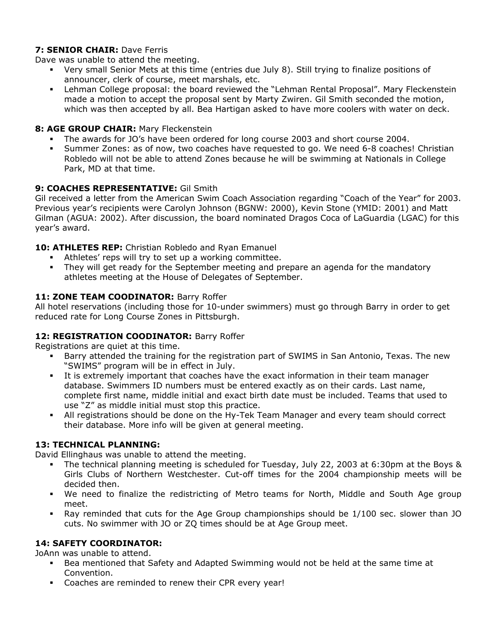# **7: SENIOR CHAIR: Dave Ferris**

Dave was unable to attend the meeting.

- Very small Senior Mets at this time (entries due July 8). Still trying to finalize positions of announcer, clerk of course, meet marshals, etc.
- Lehman College proposal: the board reviewed the "Lehman Rental Proposal". Mary Fleckenstein made a motion to accept the proposal sent by Marty Zwiren. Gil Smith seconded the motion, which was then accepted by all. Bea Hartigan asked to have more coolers with water on deck.

# **8: AGE GROUP CHAIR:** Mary Fleckenstein

- The awards for JO's have been ordered for long course 2003 and short course 2004.
- Summer Zones: as of now, two coaches have requested to go. We need 6-8 coaches! Christian Robledo will not be able to attend Zones because he will be swimming at Nationals in College Park, MD at that time.

# **9: COACHES REPRESENTATIVE:** Gil Smith

Gil received a letter from the American Swim Coach Association regarding "Coach of the Year" for 2003. Previous year's recipients were Carolyn Johnson (BGNW: 2000), Kevin Stone (YMID: 2001) and Matt Gilman (AGUA: 2002). After discussion, the board nominated Dragos Coca of LaGuardia (LGAC) for this year's award.

# 10: **ATHLETES REP:** Christian Robledo and Ryan Emanuel

- Athletes' reps will try to set up a working committee.
- They will get ready for the September meeting and prepare an agenda for the mandatory athletes meeting at the House of Delegates of September.

# **11: ZONE TEAM COODINATOR:** Barry Roffer

All hotel reservations (including those for 10-under swimmers) must go through Barry in order to get reduced rate for Long Course Zones in Pittsburgh.

## 12: REGISTRATION COODINATOR: Barry Roffer

Registrations are quiet at this time.

- Barry attended the training for the registration part of SWIMS in San Antonio, Texas. The new "SWIMS" program will be in effect in July.
- It is extremely important that coaches have the exact information in their team manager database. Swimmers ID numbers must be entered exactly as on their cards. Last name, complete first name, middle initial and exact birth date must be included. Teams that used to use "Z" as middle initial must stop this practice.
- All registrations should be done on the Hy-Tek Team Manager and every team should correct their database. More info will be given at general meeting.

## **13: TECHNICAL PLANNING:**

David Ellinghaus was unable to attend the meeting.

- The technical planning meeting is scheduled for Tuesday, July 22, 2003 at 6:30pm at the Boys & Girls Clubs of Northern Westchester. Cut-off times for the 2004 championship meets will be decided then.
- We need to finalize the redistricting of Metro teams for North, Middle and South Age group meet.
- Ray reminded that cuts for the Age Group championships should be 1/100 sec. slower than JO cuts. No swimmer with JO or ZQ times should be at Age Group meet.

## **14: SAFETY COORDINATOR:**

JoAnn was unable to attend.

- Bea mentioned that Safety and Adapted Swimming would not be held at the same time at Convention.
- Coaches are reminded to renew their CPR every year!